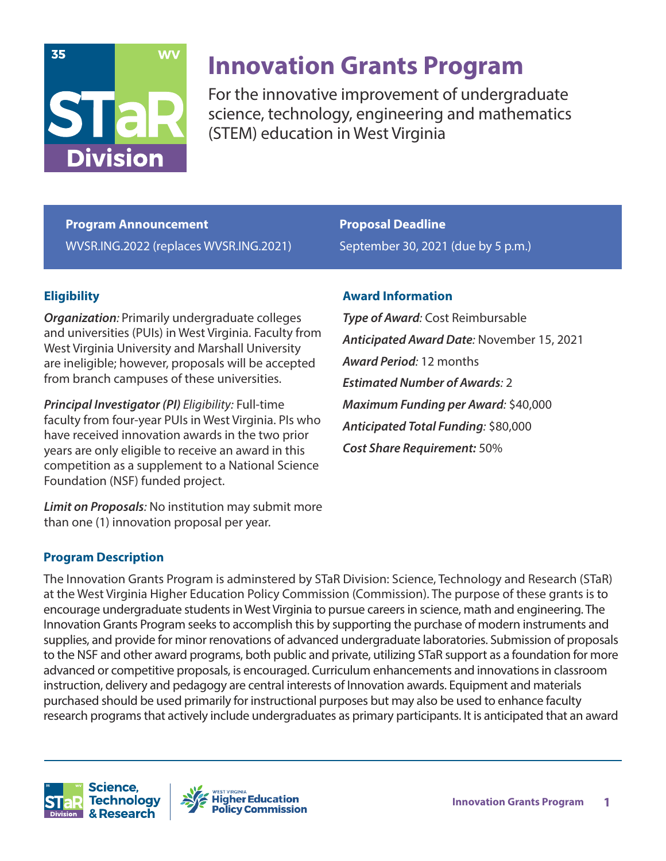

# **Innovation Grants Program**

For the innovative improvement of undergraduate science, technology, engineering and mathematics (STEM) education in West Virginia

**Program Announcement** WVSR.ING.2022 (replaces WVSR.ING.2021) **Proposal Deadline** September 30, 2021 (due by 5 p.m.)

## **Eligibility**

*Organization:* Primarily undergraduate colleges and universities (PUIs) in West Virginia. Faculty from West Virginia University and Marshall University are ineligible; however, proposals will be accepted from branch campuses of these universities.

*Principal Investigator (PI) Eligibility:* Full-time faculty from four-year PUIs in West Virginia. PIs who have received innovation awards in the two prior years are only eligible to receive an award in this competition as a supplement to a National Science Foundation (NSF) funded project.

*Limit on Proposals:* No institution may submit more than one (1) innovation proposal per year.

**Award Information**

*Type of Award:* Cost Reimbursable *Anticipated Award Date:* November 15, 2021 *Award Period:* 12 months *Estimated Number of Awards:* 2 *Maximum Funding per Award:* \$40,000 *Anticipated Total Funding:* \$80,000 *Cost Share Requirement:* 50%

#### **Program Description**

The Innovation Grants Program is adminstered by STaR Division: Science, Technology and Research (STaR) at the West Virginia Higher Education Policy Commission (Commission). The purpose of these grants is to encourage undergraduate students in West Virginia to pursue careers in science, math and engineering. The Innovation Grants Program seeks to accomplish this by supporting the purchase of modern instruments and supplies, and provide for minor renovations of advanced undergraduate laboratories. Submission of proposals to the NSF and other award programs, both public and private, utilizing STaR support as a foundation for more advanced or competitive proposals, is encouraged. Curriculum enhancements and innovations in classroom instruction, delivery and pedagogy are central interests of Innovation awards. Equipment and materials purchased should be used primarily for instructional purposes but may also be used to enhance faculty research programs that actively include undergraduates as primary participants. It is anticipated that an award



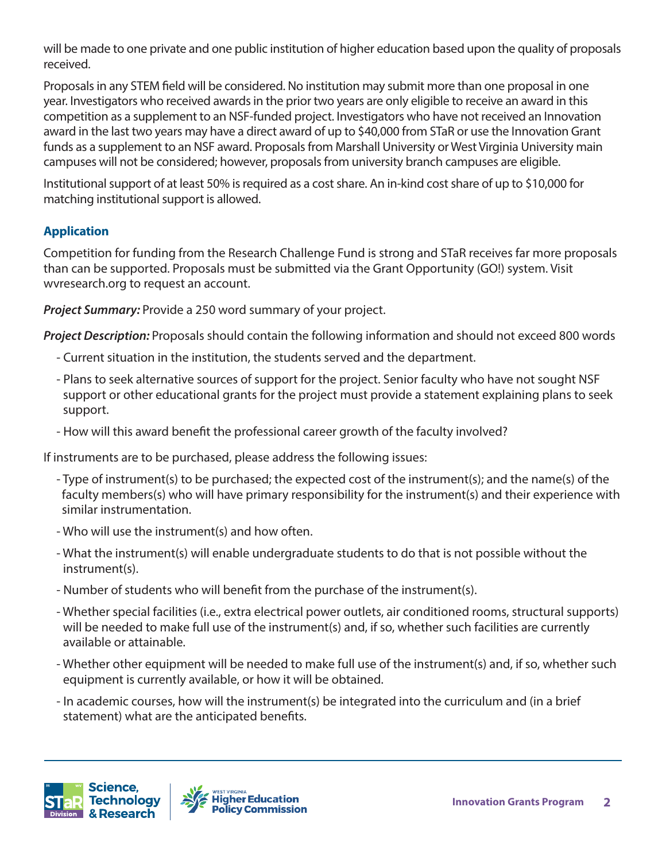will be made to one private and one public institution of higher education based upon the quality of proposals received.

Proposals in any STEM field will be considered. No institution may submit more than one proposal in one year. Investigators who received awards in the prior two years are only eligible to receive an award in this competition as a supplement to an NSF-funded project. Investigators who have not received an Innovation award in the last two years may have a direct award of up to \$40,000 from STaR or use the Innovation Grant funds as a supplement to an NSF award. Proposals from Marshall University or West Virginia University main campuses will not be considered; however, proposals from university branch campuses are eligible.

Institutional support of at least 50% is required as a cost share. An in-kind cost share of up to \$10,000 for matching institutional support is allowed.

## **Application**

Competition for funding from the Research Challenge Fund is strong and STaR receives far more proposals than can be supported. Proposals must be submitted via the Grant Opportunity (GO!) system. Visit wvresearch.org to request an account.

*Project Summary:* Provide a 250 word summary of your project.

*Project Description:* Proposals should contain the following information and should not exceed 800 words

- Current situation in the institution, the students served and the department.
- Plans to seek alternative sources of support for the project. Senior faculty who have not sought NSF support or other educational grants for the project must provide a statement explaining plans to seek support.
- How will this award benefit the professional career growth of the faculty involved?

If instruments are to be purchased, please address the following issues:

- Type of instrument(s) to be purchased; the expected cost of the instrument(s); and the name(s) of the faculty members(s) who will have primary responsibility for the instrument(s) and their experience with similar instrumentation.
- Who will use the instrument(s) and how often.
- What the instrument(s) will enable undergraduate students to do that is not possible without the instrument(s).
- Number of students who will benefit from the purchase of the instrument(s).
- Whether special facilities (i.e., extra electrical power outlets, air conditioned rooms, structural supports) will be needed to make full use of the instrument(s) and, if so, whether such facilities are currently available or attainable.
- Whether other equipment will be needed to make full use of the instrument(s) and, if so, whether such equipment is currently available, or how it will be obtained.
- In academic courses, how will the instrument(s) be integrated into the curriculum and (in a brief statement) what are the anticipated benefits.



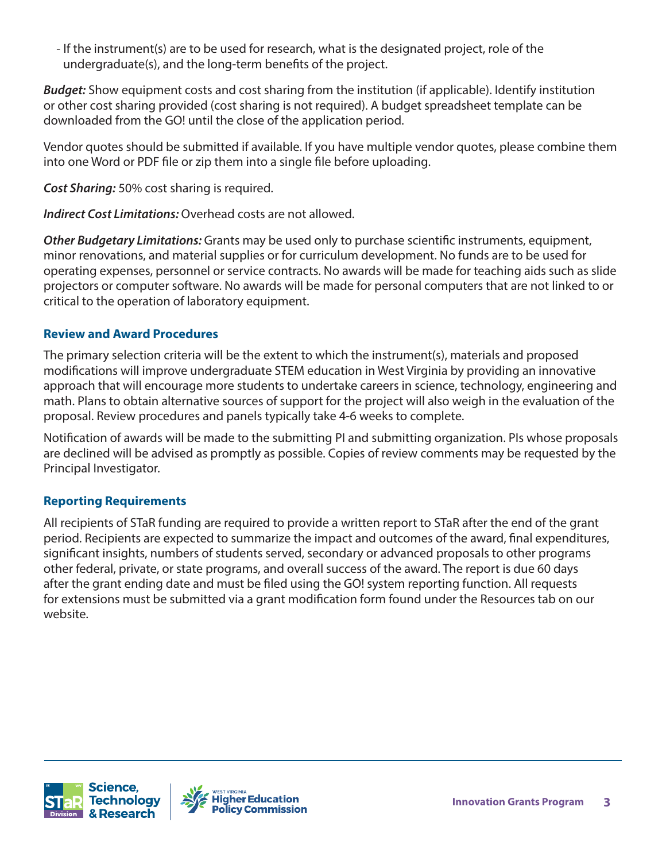- If the instrument(s) are to be used for research, what is the designated project, role of the undergraduate(s), and the long-term benefits of the project.

*Budget:* Show equipment costs and cost sharing from the institution (if applicable). Identify institution or other cost sharing provided (cost sharing is not required). A budget spreadsheet template can be downloaded from the GO! until the close of the application period.

Vendor quotes should be submitted if available. If you have multiple vendor quotes, please combine them into one Word or PDF file or zip them into a single file before uploading.

*Cost Sharing:* 50% cost sharing is required.

*Indirect Cost Limitations:* Overhead costs are not allowed.

*Other Budgetary Limitations:* Grants may be used only to purchase scientific instruments, equipment, minor renovations, and material supplies or for curriculum development. No funds are to be used for operating expenses, personnel or service contracts. No awards will be made for teaching aids such as slide projectors or computer software. No awards will be made for personal computers that are not linked to or critical to the operation of laboratory equipment.

## **Review and Award Procedures**

The primary selection criteria will be the extent to which the instrument(s), materials and proposed modifications will improve undergraduate STEM education in West Virginia by providing an innovative approach that will encourage more students to undertake careers in science, technology, engineering and math. Plans to obtain alternative sources of support for the project will also weigh in the evaluation of the proposal. Review procedures and panels typically take 4-6 weeks to complete.

Notification of awards will be made to the submitting PI and submitting organization. PIs whose proposals are declined will be advised as promptly as possible. Copies of review comments may be requested by the Principal Investigator.

## **Reporting Requirements**

All recipients of STaR funding are required to provide a written report to STaR after the end of the grant period. Recipients are expected to summarize the impact and outcomes of the award, final expenditures, significant insights, numbers of students served, secondary or advanced proposals to other programs other federal, private, or state programs, and overall success of the award. The report is due 60 days after the grant ending date and must be filed using the GO! system reporting function. All requests for extensions must be submitted via a grant modification form found under the Resources tab on our website.